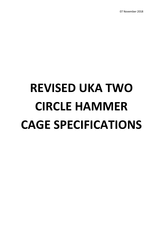07 November 2018

# **REVISED UKA TWO CIRCLE HAMMER CAGE SPECIFICATIONS**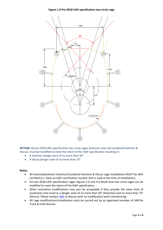**Figure 1.0 Pre-2018 UKA specification two circle cage**



**ACTION:** All pre-2018 UKA specification two circle cages (hammer only and combined hammer & discus), must be modified to meet the intent of the IAAF specification resulting in:

- A hammer danger zone of no more than 56°
- A discus danger zone of no more than 75°

### **Notes:**

.

- All new/replacement Hammer/Combined Hammer & Discus cage installations MUST be IAAF certified (i.e. Have an IAAF certification number that is valid at the time of installation).
- For pre-2018 UKA specification cages Figures 2.0 and 3.0 detail how two circle cages can be modified to meet the intent of the IAAF specification.
- Other innovative modifications may also be acceptable if they provide the same level of protection and result in a danger zone of no more than 56 $^{\circ}$  (Hammer) and no more than 75 $^{\circ}$ (Discus). Please contac[t UKA](mailto:Facilities@uka.org.uk?subject=UKA%20Cage%20Modification) to discuss prior to modification work commencing.
- All cage modifications/installations must be carried out by an approved member of SAPCAs Track & Field division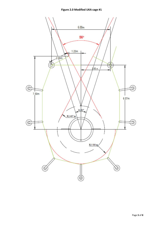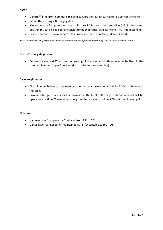### **How?**

- Discard/fill the front hammer circle and convert the rear discus circle to a concentric circle.
- Retain the existing 2.0m cage gates
- Move the gate fixing position from 1.12m to 1.23m from the centreline (NB. In the closed position the gate is fixed at right angles to the theoretical trajectory line – NOT the sector line.)
- Ensure that there is a minimum 3.00m radius to the rear netting (ideally 3.50m).

*Note: All modifications/installations must be carried out by an approved member of SAPCAs Track & Field division*

### **Discus Throw gate position**

• Centre of circle is 6.57m from the opening of the cage and both gates must be fixed in the standard hammer "open" position (i.e. parallel to the sector line)

### **Cage Height notes:**

- The minimum height of cage netting panels at their lowest point shall be 7.00m at the rear of the cage.
- Two movable gate panels shall be provided at the front of the cage, only one of which will be operative at a time. The minimum height of these panels shall be 9.00m at their lowest point.

### **Outcome**:

- Hammer cage "danger zone" reduced from 83 $^{\circ}$  to 56 $^{\circ}$
- Discus cage "danger zone" maintained at 75° (acceptable to the IAAF)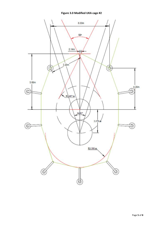## **Figure 3.0 Modified UKA cage #2**

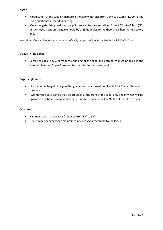### **How?**

- Modification of the cage by increasing the gate width size from 2.0m to 3.20m (+1.20m) or by using additional suspended netting.
- Move the gate fixing position to a point nearer to the centreline: From 1.12m to 0.14m (NB. In the closed position the gate should be at right angles to the theoretical hammer trajectory line.

*Note: All modifications/installations must be carried out by an approved member of SAPCAs Track & Field division*

### **Discus Throw notes**

• Centre of circle is 6.57m from the opening of the cage and both gates must be fixed in the standard hammer "open" position (i.e. parallel to the sector line).

### **Cage Height notes:**

- The minimum height of cage netting panels at their lowest point shall be 7.00m at the rear of the cage.
- Two movable gate panels shall be provided at the front of the cage, only one of which will be operative at a time. The minimum height of these panels shall be 9.00m at their lowest point.

### **Outcome**:

- Hammer cage "danger zone" reduced from 83 $^{\circ}$  to 53 $^{\circ}$
- Discus cage "danger zone" maintained at circa 75° (acceptable to the IAAF)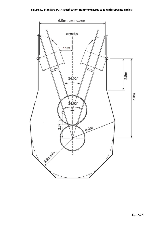# **Figure 3.0 Standard IAAF specification Hammer/Discus cage with separate circles**